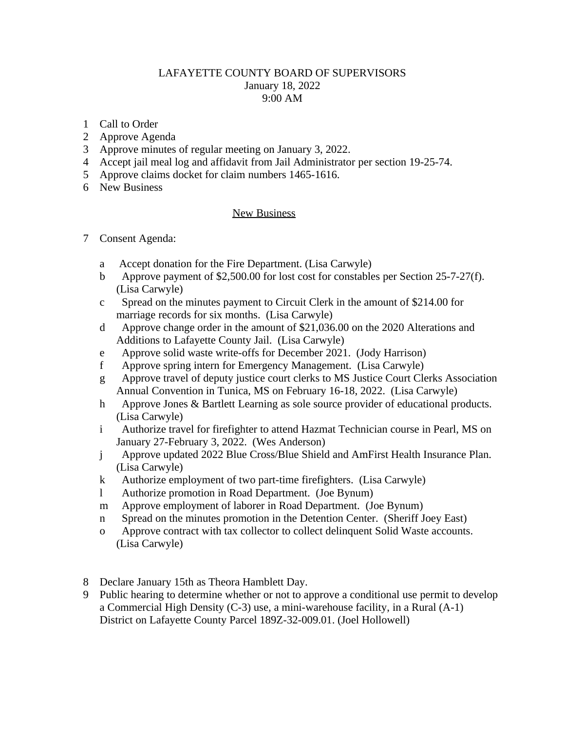## LAFAYETTE COUNTY BOARD OF SUPERVISORS January 18, 2022 9:00 AM

- 1 Call to Order
- 2 Approve Agenda
- 3 Approve minutes of regular meeting on January 3, 2022.
- 4 Accept jail meal log and affidavit from Jail Administrator per section 19-25-74.
- 5 Approve claims docket for claim numbers 1465-1616.
- 6 New Business

## New Business

- 7 Consent Agenda:
	- a Accept donation for the Fire Department. (Lisa Carwyle)
	- b Approve payment of \$2,500.00 for lost cost for constables per Section 25-7-27(f). (Lisa Carwyle)
	- c Spread on the minutes payment to Circuit Clerk in the amount of \$214.00 for marriage records for six months. (Lisa Carwyle)
	- d Approve change order in the amount of \$21,036.00 on the 2020 Alterations and Additions to Lafayette County Jail. (Lisa Carwyle)
	- e Approve solid waste write-offs for December 2021. (Jody Harrison)
	- f Approve spring intern for Emergency Management. (Lisa Carwyle)
	- g Approve travel of deputy justice court clerks to MS Justice Court Clerks Association Annual Convention in Tunica, MS on February 16-18, 2022. (Lisa Carwyle)
	- h Approve Jones & Bartlett Learning as sole source provider of educational products. (Lisa Carwyle)
	- i Authorize travel for firefighter to attend Hazmat Technician course in Pearl, MS on January 27-February 3, 2022. (Wes Anderson)
	- j Approve updated 2022 Blue Cross/Blue Shield and AmFirst Health Insurance Plan. (Lisa Carwyle)
	- k Authorize employment of two part-time firefighters. (Lisa Carwyle)
	- l Authorize promotion in Road Department. (Joe Bynum)
	- m Approve employment of laborer in Road Department. (Joe Bynum)
	- n Spread on the minutes promotion in the Detention Center. (Sheriff Joey East)
	- o Approve contract with tax collector to collect delinquent Solid Waste accounts. (Lisa Carwyle)
- 8 Declare January 15th as Theora Hamblett Day.
- 9 Public hearing to determine whether or not to approve a conditional use permit to develop a Commercial High Density (C-3) use, a mini-warehouse facility, in a Rural (A-1) District on Lafayette County Parcel 189Z-32-009.01. (Joel Hollowell)